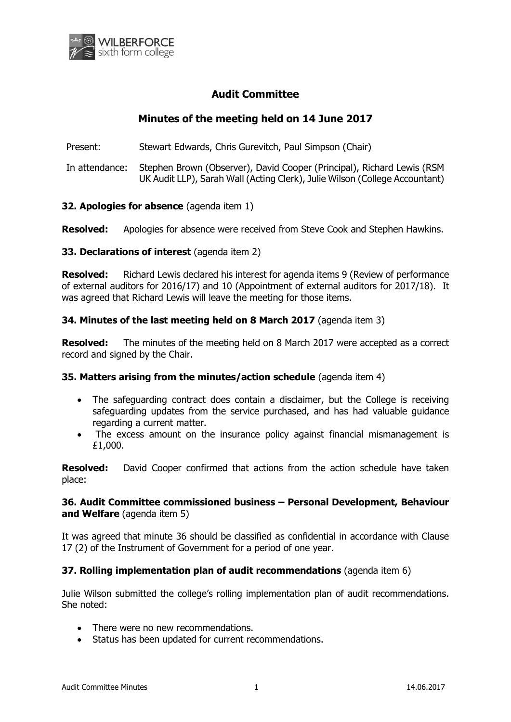

# **Audit Committee**

# **Minutes of the meeting held on 14 June 2017**

Present: Stewart Edwards, Chris Gurevitch, Paul Simpson (Chair)

In attendance: Stephen Brown (Observer), David Cooper (Principal), Richard Lewis (RSM UK Audit LLP), Sarah Wall (Acting Clerk), Julie Wilson (College Accountant)

## **32. Apologies for absence** (agenda item 1)

**Resolved:** Apologies for absence were received from Steve Cook and Stephen Hawkins.

### **33. Declarations of interest** (agenda item 2)

**Resolved:** Richard Lewis declared his interest for agenda items 9 (Review of performance of external auditors for 2016/17) and 10 (Appointment of external auditors for 2017/18). It was agreed that Richard Lewis will leave the meeting for those items.

### **34. Minutes of the last meeting held on 8 March 2017** (agenda item 3)

**Resolved:** The minutes of the meeting held on 8 March 2017 were accepted as a correct record and signed by the Chair.

### **35. Matters arising from the minutes/action schedule** (agenda item 4)

- The safeguarding contract does contain a disclaimer, but the College is receiving safeguarding updates from the service purchased, and has had valuable guidance regarding a current matter.
- The excess amount on the insurance policy against financial mismanagement is £1,000.

**Resolved:** David Cooper confirmed that actions from the action schedule have taken place:

### **36. Audit Committee commissioned business – Personal Development, Behaviour and Welfare** (agenda item 5)

It was agreed that minute 36 should be classified as confidential in accordance with Clause 17 (2) of the Instrument of Government for a period of one year.

### **37. Rolling implementation plan of audit recommendations** (agenda item 6)

Julie Wilson submitted the college's rolling implementation plan of audit recommendations. She noted:

- There were no new recommendations.
- Status has been updated for current recommendations.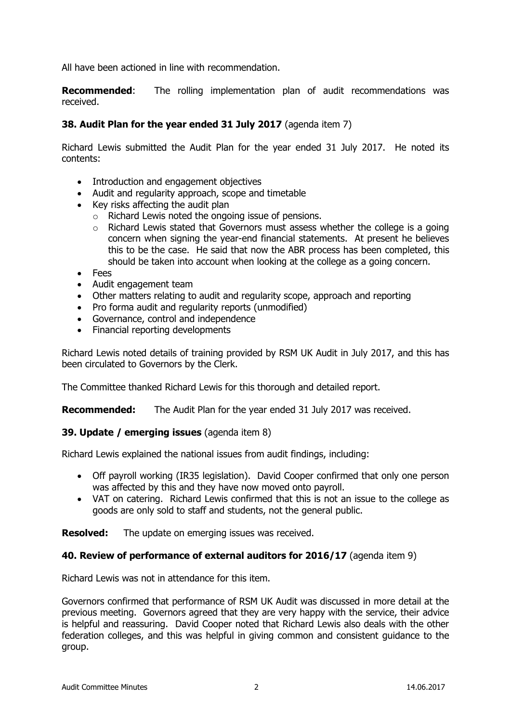All have been actioned in line with recommendation.

**Recommended:** The rolling implementation plan of audit recommendations was received.

## **38. Audit Plan for the year ended 31 July 2017** (agenda item 7)

Richard Lewis submitted the Audit Plan for the year ended 31 July 2017. He noted its contents:

- Introduction and engagement objectives
- Audit and regularity approach, scope and timetable
- $\bullet$  Key risks affecting the audit plan
	- o Richard Lewis noted the ongoing issue of pensions.
	- $\circ$  Richard Lewis stated that Governors must assess whether the college is a going concern when signing the year-end financial statements. At present he believes this to be the case. He said that now the ABR process has been completed, this should be taken into account when looking at the college as a going concern.
- Fees
- Audit engagement team
- Other matters relating to audit and regularity scope, approach and reporting
- Pro forma audit and regularity reports (unmodified)
- Governance, control and independence
- Financial reporting developments

Richard Lewis noted details of training provided by RSM UK Audit in July 2017, and this has been circulated to Governors by the Clerk.

The Committee thanked Richard Lewis for this thorough and detailed report.

**Recommended:** The Audit Plan for the year ended 31 July 2017 was received.

### **39. Update / emerging issues** (agenda item 8)

Richard Lewis explained the national issues from audit findings, including:

- Off payroll working (IR35 legislation). David Cooper confirmed that only one person was affected by this and they have now moved onto payroll.
- VAT on catering. Richard Lewis confirmed that this is not an issue to the college as goods are only sold to staff and students, not the general public.

**Resolved:** The update on emerging issues was received.

### **40. Review of performance of external auditors for 2016/17** (agenda item 9)

Richard Lewis was not in attendance for this item.

Governors confirmed that performance of RSM UK Audit was discussed in more detail at the previous meeting. Governors agreed that they are very happy with the service, their advice is helpful and reassuring. David Cooper noted that Richard Lewis also deals with the other federation colleges, and this was helpful in giving common and consistent guidance to the group.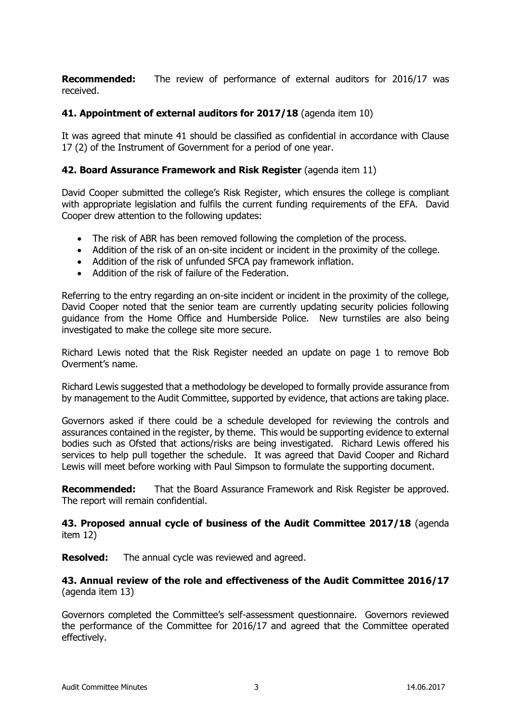**Recommended:** The review of performance of external auditors for 2016/17 was received.

## **41. Appointment of external auditors for 2017/18** (agenda item 10)

It was agreed that minute 41 should be classified as confidential in accordance with Clause 17 (2) of the Instrument of Government for a period of one year.

## **42. Board Assurance Framework and Risk Register** (agenda item 11)

David Cooper submitted the college's Risk Register, which ensures the college is compliant with appropriate legislation and fulfils the current funding requirements of the EFA. David Cooper drew attention to the following updates:

- The risk of ABR has been removed following the completion of the process.
- Addition of the risk of an on-site incident or incident in the proximity of the college.
- Addition of the risk of unfunded SFCA pay framework inflation.
- Addition of the risk of failure of the Federation.

Referring to the entry regarding an on-site incident or incident in the proximity of the college, David Cooper noted that the senior team are currently updating security policies following guidance from the Home Office and Humberside Police. New turnstiles are also being investigated to make the college site more secure.

Richard Lewis noted that the Risk Register needed an update on page 1 to remove Bob Overment's name.

Richard Lewis suggested that a methodology be developed to formally provide assurance from by management to the Audit Committee, supported by evidence, that actions are taking place.

Governors asked if there could be a schedule developed for reviewing the controls and assurances contained in the register, by theme. This would be supporting evidence to external bodies such as Ofsted that actions/risks are being investigated. Richard Lewis offered his services to help pull together the schedule. It was agreed that David Cooper and Richard Lewis will meet before working with Paul Simpson to formulate the supporting document.

**Recommended:** That the Board Assurance Framework and Risk Register be approved. The report will remain confidential.

**43. Proposed annual cycle of business of the Audit Committee 2017/18** (agenda item 12)

**Resolved:** The annual cycle was reviewed and agreed.

**43. Annual review of the role and effectiveness of the Audit Committee 2016/17** (agenda item 13)

Governors completed the Committee's self-assessment questionnaire. Governors reviewed the performance of the Committee for 2016/17 and agreed that the Committee operated effectively.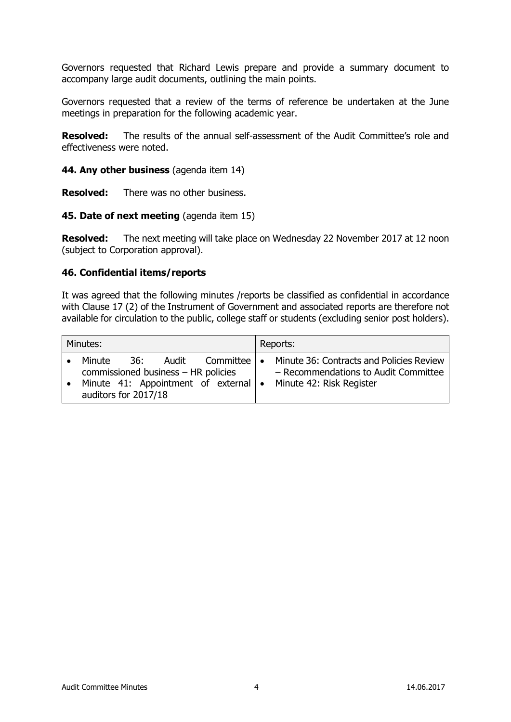Governors requested that Richard Lewis prepare and provide a summary document to accompany large audit documents, outlining the main points.

Governors requested that a review of the terms of reference be undertaken at the June meetings in preparation for the following academic year.

**Resolved:** The results of the annual self-assessment of the Audit Committee's role and effectiveness were noted.

**44. Any other business** (agenda item 14)

**Resolved:** There was no other business.

**45. Date of next meeting** (agenda item 15)

**Resolved:** The next meeting will take place on Wednesday 22 November 2017 at 12 noon (subject to Corporation approval).

#### **46. Confidential items/reports**

It was agreed that the following minutes /reports be classified as confidential in accordance with Clause 17 (2) of the Instrument of Government and associated reports are therefore not available for circulation to the public, college staff or students (excluding senior post holders).

| Minutes: |                                                                       |      |  |                     | Reports: |                                                                                                                                                     |  |
|----------|-----------------------------------------------------------------------|------|--|---------------------|----------|-----------------------------------------------------------------------------------------------------------------------------------------------------|--|
|          | Minute<br>commissioned business - HR policies<br>auditors for 2017/18 | .36: |  | Audit Committee   • |          | Minute 36: Contracts and Policies Review<br>- Recommendations to Audit Committee<br>Minute 41: Appointment of external   • Minute 42: Risk Register |  |